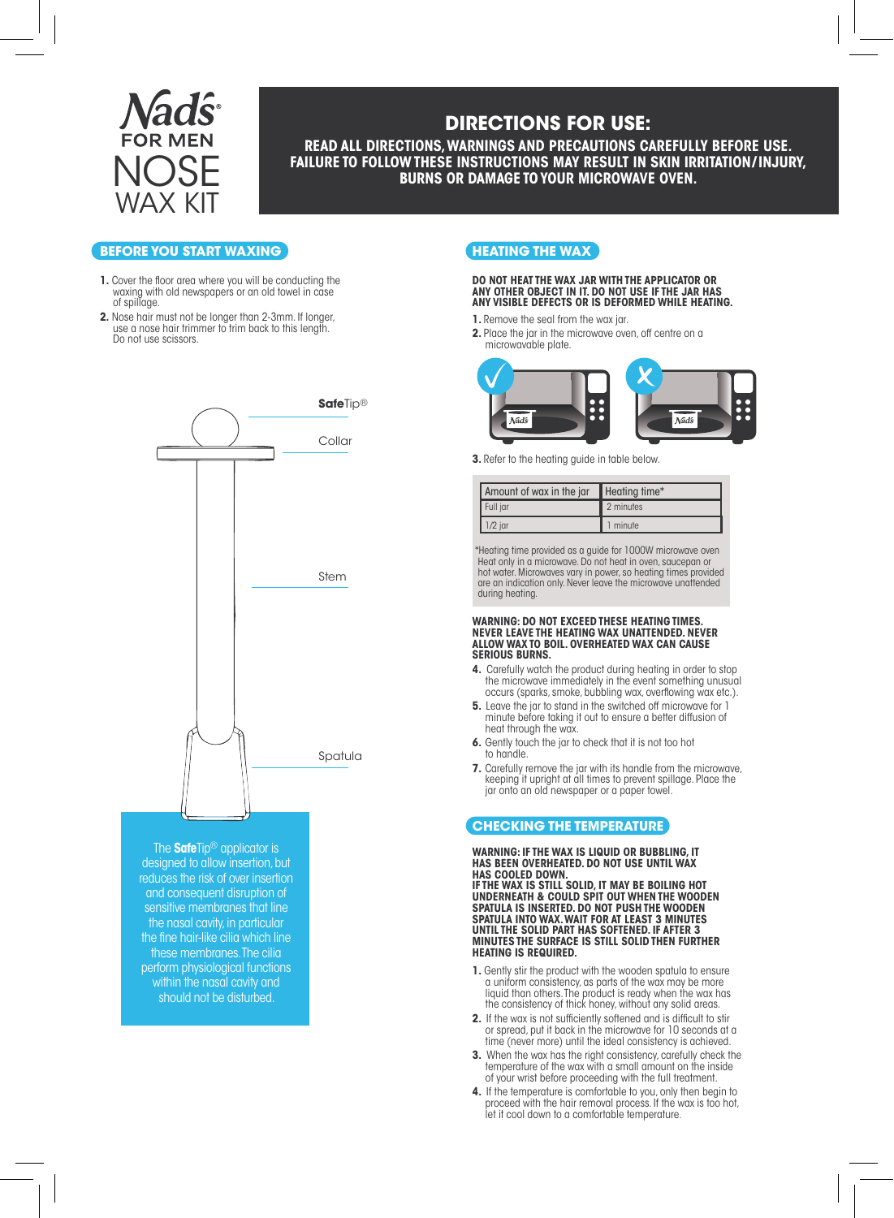

## **DIRECTIONS FOR USE:**

**READ ALL DIRECTIONS, WARNINGS AND PRECAUTIONS CAREFULLY BEFORE USE. FAILURE TO FOLLOW THESE INSTRUCTIONS MAY RESULT IN SKIN IRRITATION/ INJURY, BURNS OR DAMAGE TO YOUR MICROWAVE OVEN.**

#### **BEFORE YOU START WAXING**

- **1.** Cover the floor area where you will be conducting the waxing with old newspapers or an old towel in case of spillage.
- **2.** Nose hair must not be longer than 2-3mm. If longer, use a nose hair trimmer to trim back to this length. Do not use scissors.



The **Safe**Tip® applicator is designed to allow insertion, but reduces the risk of over insertion and consequent disruption of sensitive membranes that line the nasal cavity, in particular the fine hair-like cilia which line these membranes. The cilia perform physiological functions within the nasal cavity and should not be disturbed.

## **HEATING THE WAX**

**DO NOT HEAT THE WAX JAR WITH THE APPLICATOR OR ANY OTHER OBJECT IN IT. DO NOT USE IF THE JAR HAS ANY VISIBLE DEFECTS OR IS DEFORMED WHILE HEATING.**

- **1.** Remove the seal from the wax jar.
- **2.** Place the jar in the microwave oven, off centre on a microwavable plate.



**3.** Refer to the heating guide in table below.

| Amount of wax in the jar | Heating time* |
|--------------------------|---------------|
| Full jar                 | 2 minutes     |
| $1/2$ jar                | minute        |

"Heating time provided as a guide for 1000W microwave oven<br>Heat only in a microwave. Do not heat in oven, saucepan or<br>hot water. Microwaves vary in power, so heating times provided<br>are an indication only. Never leave the m during heating.

#### **WARNING: DO NOT EXCEED THESE HEATING TIMES. NEVER LEAVE THE HEATING WAX UNATTENDED. NEVER ALLOW WAX TO BOIL. OVERHEATED WAX CAN CAUSE SERIOUS BURNS.**

- **4.** Carefully watch the product during heating in order to stop the microwave immediately in the event something unusual occurs (sparks, smoke, bubbling wax, overflowing wax etc.).
- **5.** Leave the jar to stand in the switched off microwave for 1 minute before taking it out to ensure a better diffusion of heat through the wax.
- **6.** Gently touch the jar to check that it is not too hot to handle.
- **7.** Carefully remove the jar with its handle from the microwave,<br>keeping it upright at all times to prevent spillage. Place the<br>jar onto an old newspaper or a paper towel.

#### **CHECKING THE TEMPERATURE**

**WARNING: IF THE WAX IS LIQUID OR BUBBLING, IT HAS BEEN OVERHEATED. DO NOT USE UNTIL WAX HAS COOLED DOWN. IF THE WAX IS STILL SOLID, IT MAY BE BOILING HOT UNDERNEATH & COULD SPIT OUT WHEN THE WOODEN** 

**SPATULA IS INSERTED. DO NOT PUSH THE WOODEN SPATULA INTO WAX. WAIT FOR AT LEAST 3 MINUTES UNTIL THE SOLID PART HAS SOFTENED. IF AFTER 3 MINUTES THE SURFACE IS STILL SOLID THEN FURTHER HEATING IS REQUIRED.**

- **1.** Gently stir the product with the wooden spatula to ensure a uniform consistency, as parts of the wax may be more liquid than others. The product is ready when the wax has the consistency of thick honey, without any solid areas.
- **2.** If the wax is not sufficiently softened and is difficult to stir or spread, put it back in the microwave for 10 seconds at a time (never more) until the ideal consistency is achieved.
- **3.** When the wax has the right consistency, carefully check the temperature of the wax with a small amount on the inside of your wrist before proceeding with the full treatment.
- **4.** If the temperature is comfortable to you, only then begin to proceed with the hair removal process. If the wax is too hot, let it cool down to a comfortable temperature.